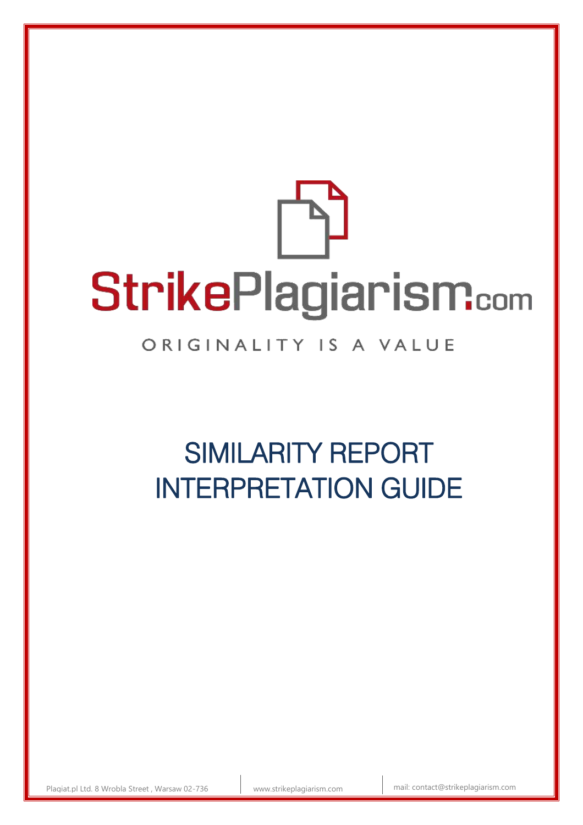# StrikePlagiarism.com

# ORIGINALITY IS A VALUE

# SIMILARITY REPORT INTERPRETATION GUIDE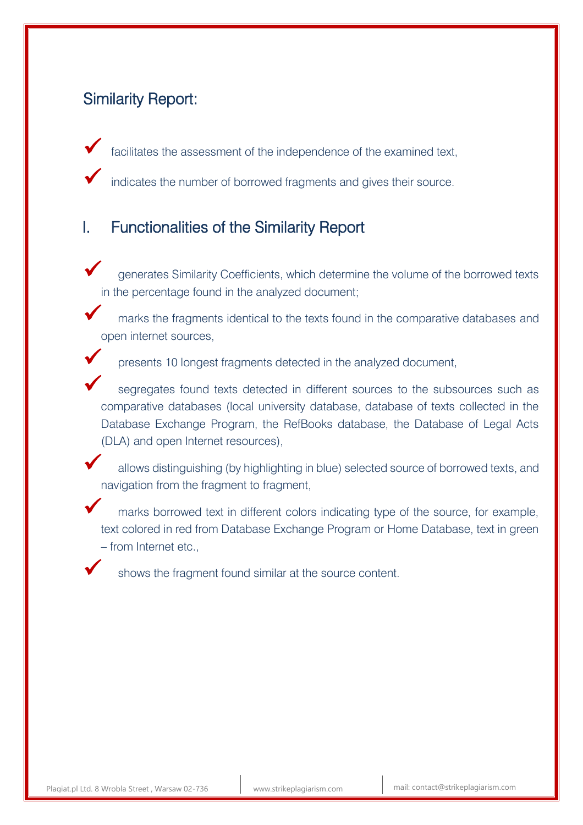# Similarity Report:

facilitates the assessment of the independence of the examined text,

indicates the number of borrowed fragments and gives their source.

# I. Functionalities of the Similarity Report

- generates Similarity Coefficients, which determine the volume of the borrowed texts in the percentage found in the analyzed document;
- marks the fragments identical to the texts found in the comparative databases and open internet sources,



 segregates found texts detected in different sources to the subsources such as comparative databases (local university database, database of texts collected in the Database Exchange Program, the RefBooks database, the Database of Legal Acts (DLA) and open Internet resources),

 allows distinguishing (by highlighting in blue) selected source of borrowed texts, and navigation from the fragment to fragment,

 marks borrowed text in different colors indicating type of the source, for example, text colored in red from Database Exchange Program or Home Database, text in green – from Internet etc.,

shows the fragment found similar at the source content.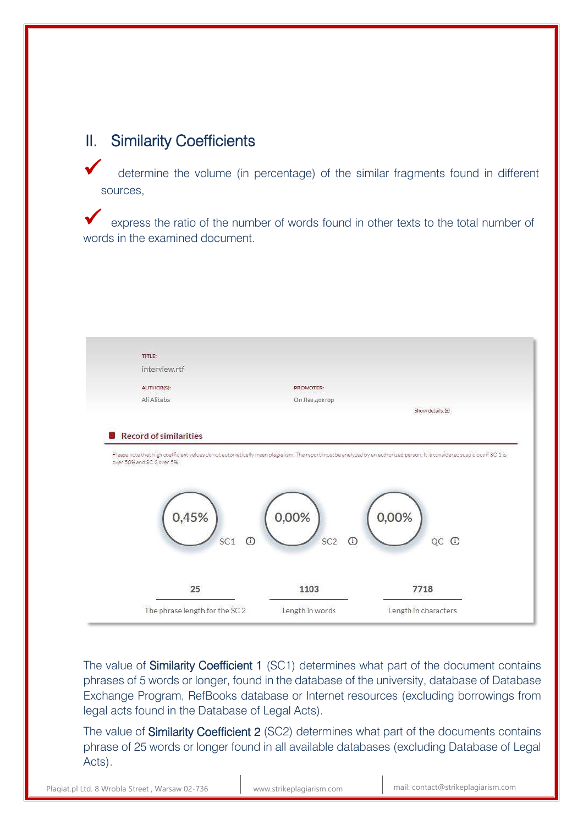# II. Similarity Coefficients

 determine the volume (in percentage) of the similar fragments found in different sources,

 express the ratio of the number of words found in other texts to the total number of words in the examined document.



The value of **Similarity Coefficient 1** (SC1) determines what part of the document contains phrases of 5 words or longer, found in the database of the university, database of Database Exchange Program, RefBooks database or Internet resources (excluding borrowings from legal acts found in the Database of Legal Acts).

The value of **Similarity Coefficient 2** (SC2) determines what part of the documents contains phrase of 25 words or longer found in all available databases (excluding Database of Legal Acts).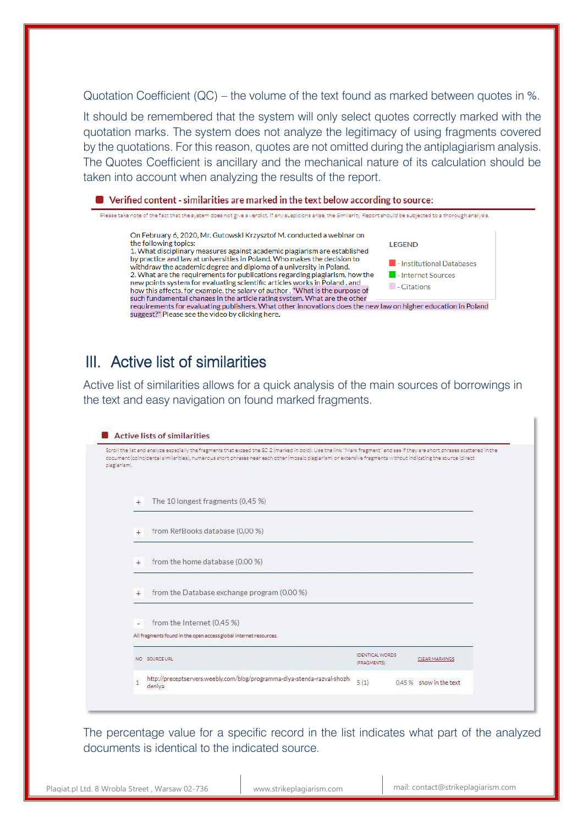Quotation Coefficient (QC) – the volume of the text found as marked between quotes in %.

It should be remembered that the system will only select quotes correctly marked with the quotation marks. The system does not analyze the legitimacy of using fragments covered by the quotations. For this reason, quotes are not omitted during the antiplagiarism analysis. The Quotes Coefficient is ancillary and the mechanical nature of its calculation should be taken into account when analyzing the results of the report.

# III. Active list of similarities

Active list of similarities allows for a quick analysis of the main sources of borrowings in the text and easy navigation on found marked fragments.

| plagiarism). | Scroll the list and analyze especially the fragments that exceed the SC 2 (marked in bold). Use the link "Mark fragment" and see if they are short phrases scattered in the<br>document (coincidental aimilarities), numerous short phrases near each other (mosaic plagiarism) or extensive fragments without indicating the source (direct |                                |                         |  |
|--------------|----------------------------------------------------------------------------------------------------------------------------------------------------------------------------------------------------------------------------------------------------------------------------------------------------------------------------------------------|--------------------------------|-------------------------|--|
| $+$          | The 10 longest fragments (0,45 %)                                                                                                                                                                                                                                                                                                            |                                |                         |  |
| $+$          | from RefBooks database (0,00 %)                                                                                                                                                                                                                                                                                                              |                                |                         |  |
| $^{+}$       | from the home database (0,00 %)                                                                                                                                                                                                                                                                                                              |                                |                         |  |
| $+$          | from the Database exchange program (0,00 %)                                                                                                                                                                                                                                                                                                  |                                |                         |  |
| $\sim$       | from the Internet (0,45 %)<br>All fragments found in the open access global internet resources.                                                                                                                                                                                                                                              |                                |                         |  |
|              | NO SOURCEURL                                                                                                                                                                                                                                                                                                                                 | IDENTICAL WORDS<br>(FRAGMENTS) | CLEAR MARKINGS.         |  |
| 1            | http://preceptservers.weebly.com/blog/programma-dlya-stenda-razval-shozh<br>deniva                                                                                                                                                                                                                                                           | 5(1)                           | 0.45 % show in the text |  |

The percentage value for a specific record in the list indicates what part of the analyzed documents is identical to the indicated source.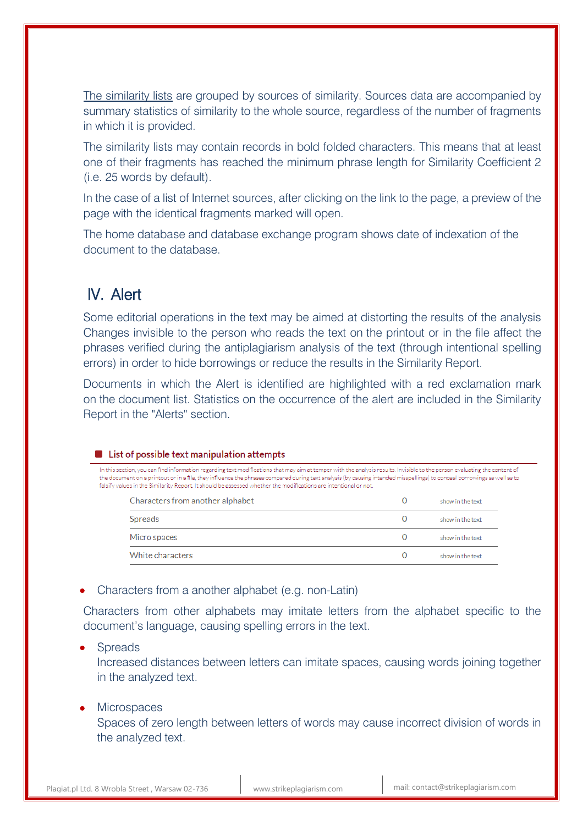The similarity lists are grouped by sources of similarity. Sources data are accompanied by summary statistics of similarity to the whole source, regardless of the number of fragments in which it is provided.

The similarity lists may contain records in bold folded characters. This means that at least one of their fragments has reached the minimum phrase length for Similarity Coefficient 2 (i.e. 25 words by default).

In the case of a list of Internet sources, after clicking on the link to the page, a preview of the page with the identical fragments marked will open.

The home database and database exchange program shows date of indexation of the document to the database.

# IV. Alert

Some editorial operations in the text may be aimed at distorting the results of the analysis Changes invisible to the person who reads the text on the printout or in the file affect the phrases verified during the antiplagiarism analysis of the text (through intentional spelling errors) in order to hide borrowings or reduce the results in the Similarity Report.

Documents in which the Alert is identified are highlighted with a red exclamation mark on the document list. Statistics on the occurrence of the alert are included in the Similarity Report in the "Alerts" section.

### List of possible text manipulation attempts

In this section, you can find information regarding text modifications that may aim at temper with the analysis results. Invisible to the person evaluating the content of the document on a printout or in a file, they influence the phrases compared during text analysis (by causing intended misspellings) to conceal borrowings as well as to falsify values in the Similarity Report. It should be assessed whether the modifications are intentional or not.

| Characters from another alphabet | show in the text |
|----------------------------------|------------------|
| Spreads                          | show in the text |
| Micro spaces                     | show in the text |
| White characters                 | show in the text |

Characters from a another alphabet (e.g. non-Latin)

Characters from other alphabets may imitate letters from the alphabet specific to the document's language, causing spelling errors in the text.

### **Spreads**

Increased distances between letters can imitate spaces, causing words joining together in the analyzed text.

### **Microspaces**

Spaces of zero length between letters of words may cause incorrect division of words in the analyzed text.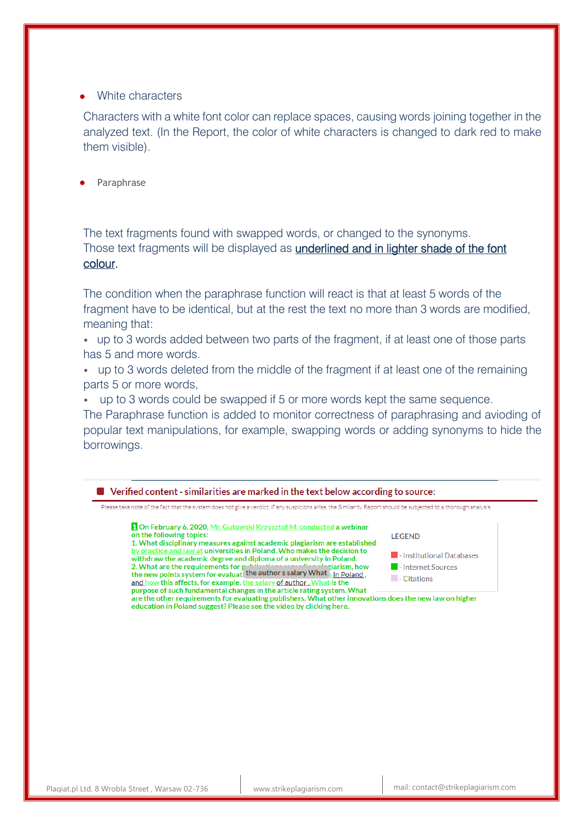### White characters

Characters with a white font color can replace spaces, causing words joining together in the analyzed text. (In the Report, the color of white characters is changed to dark red to make them visible).

Paraphrase

The text fragments found with swapped words, or changed to the synonyms. Those text fragments will be displayed as **underlined and in lighter shade of the font** colour.

The condition when the paraphrase function will react is that at least 5 words of the fragment have to be identical, but at the rest the text no more than 3 words are modified, meaning that:

• up to 3 words added between two parts of the fragment, if at least one of those parts has 5 and more words.

• up to 3 words deleted from the middle of the fragment if at least one of the remaining parts 5 or more words,

• up to 3 words could be swapped if 5 or more words kept the same sequence.

The Paraphrase function is added to monitor correctness of paraphrasing and avioding of popular text manipulations, for example, swapping words or adding synonyms to hide the borrowings.

■ Verified content - similarities are marked in the text below according to source: Please take note of the fact that the system does not give a verdict. If any suspicions arise, the Similarity Report should be subjected to a thorough analysis. On February 6, 2020, Mr. Gutowski Krzysztof M. conducted a webinar on the following topics: **LEGEND** 1. What disciplinary measures against academic plagiarism are established by practice and law at universities in Poland. Who makes the decision to I - Institutional Databases withdraw the academic degree and diploma of a university in Poland. 2. What are the requirements for publication is a solutional spirit spirit spirit points system for evaluati the author s salary What  $\frac{1}{s}$  in Poland, ziarism, how - Internet Sources  $\blacksquare$  - Citations and how this affects, for example, the salary of author. What is the purpose of such fundamental changes in the article rating system. What are the other requirements for evaluating publishers. What other innovations does the new law on higher education in Poland suggest? Please see the video by clicking here.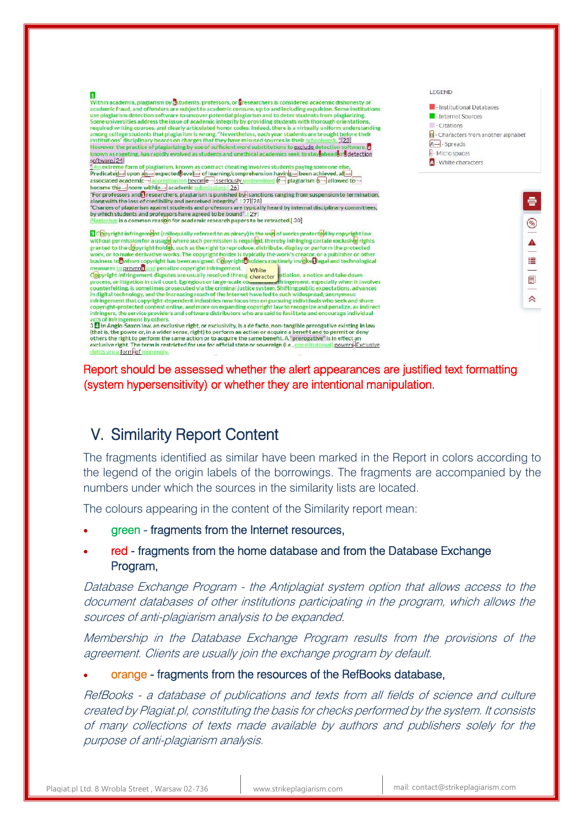

Report should be assessed whether the alert appearances are justified text formatting (system hypersensitivity) or whether they are intentional manipulation.

# V. Similarity Report Content

The fragments identified as similar have been marked in the Report in colors according to the legend of the origin labels of the borrowings. The fragments are accompanied by the numbers under which the sources in the similarity lists are located.

The colours appearing in the content of the Similarity report mean:

- green fragments from the Internet resources,
- red fragments from the home database and from the Database Exchange Program,

Database Exchange Program - the Antiplagiat system option that allows access to the document databases of other institutions participating in the program, which allows the sources of anti-plagiarism analysis to be expanded.

Membership in the Database Exchange Program results from the provisions of the agreement. Clients are usually join the exchange program by default.

orange - fragments from the resources of the RefBooks database,

RefBooks - a database of publications and texts from all fields of science and culture created by Plagiat.pl, constituting the basis for checks performed by the system. It consists of many collections of texts made available by authors and publishers solely for the purpose of anti-plagiarism analysis.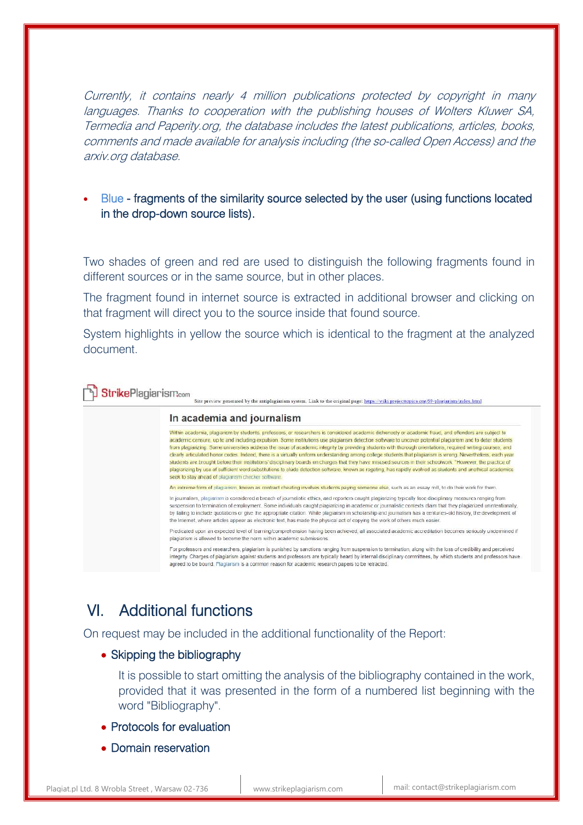Currently, it contains nearly 4 million publications protected by copyright in many languages. Thanks to cooperation with the publishing houses of Wolters Kluwer SA, Termedia and Paperity.org, the database includes the latest publications, articles, books, comments and made available for analysis including (the so-called Open Access) and the arxiv.org database.

### Blue - fragments of the similarity source selected by the user (using functions located in the drop-down source lists).

Two shades of green and red are used to distinguish the following fragments found in different sources or in the same source, but in other places.

The fragment found in internet source is extracted in additional browser and clicking on that fragment will direct you to the source inside that found source.

System highlights in yellow the source which is identical to the fragment at the analyzed document.

**J Strike**Plagiarism.com

### In academia and journalism

Within academia, plagiarism by students, professors, or researchers is considered academic dishonesty or academic fraud, and offenders are subject to academic censure, up to and including expulsion. Some institutions use plagiansm detection software to uncover potential plagiarism and to deter students from plagrarizing. Some universities address the issue of academic integrity by providing students with thorough orientations, required writing courses, and clearly articulated honor codes. Indeed, there is a virtually uniform understanding among college students that plagiarism is wrong. Nevertheless, each year students are brought before their institutions' disciplinary boards on charges that they have misused sources in their schoolwork "However, the practice of plagiarizing by use of sufficient word substitutions to elude detection software, known as rogeting, has rapidly evolved as students and unethical academics seek to stay ahead of plagiarism checker software.

Site preview generated by the antiplagiarism system. Link to the original page: https://wiki.projecttopics.org/69-plagiarism/index.html

An extreme form of plagiarism, known as contract cheating involves students paying someone else, such as an essay mill, to do their work for them.

In journalism, plagiarism is considered a breach of journalistic ethics, and reporters caught plagiarizing typically face disciplinary measures ranging from spension to termination of employment. Some individuals caught plagiarizing in academic or journalistic contexts claim that they plagiarized unintentionally by failing to include quotations or give the appropriate citation. While plagiansm in scholarship and journalism has a centuries-old history, the development of the Internet, where articles appear as electronic text, has made the physical act of copying the work of others much easier.

Predicated upon an expected level of learning/comprehension having been achieved, all associated academic accreditation becomes seriously undermined if plagiarism is allowed to become the norm within academic submissions

For professors and researchers, plagiarism is punished by sanctions ranging from suspension to termination; along with the loss of credibility and perceived integrity. Charges of plagiarism against students and professors are typically heard by internal disciplinary committees, by which students and professors have agreed to be bound. Plagiarism is a common reason for academic research papers to be retracted.

# VI. Additional functions

On request may be included in the additional functionality of the Report:

### • Skipping the bibliography

It is possible to start omitting the analysis of the bibliography contained in the work, provided that it was presented in the form of a numbered list beginning with the word "Bibliography".

- Protocols for evaluation
- Domain reservation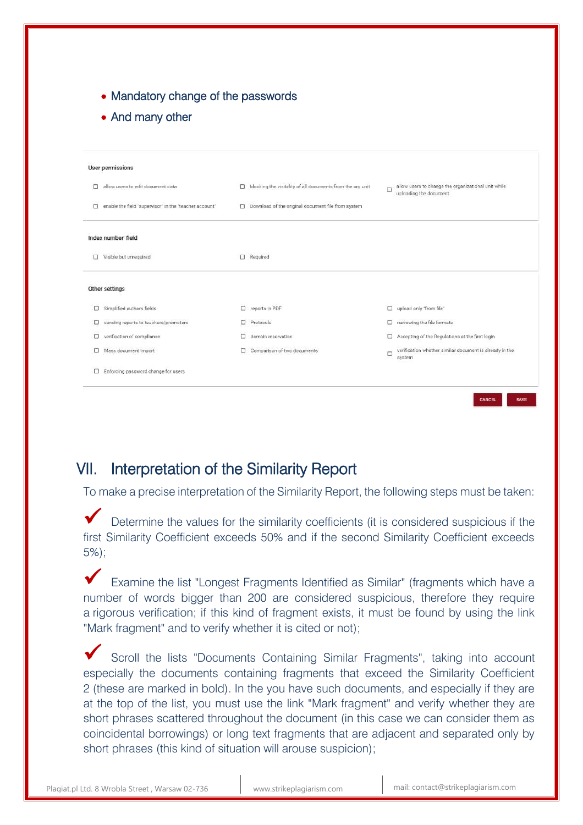|  |  |  |  | • Mandatory change of the passwords |
|--|--|--|--|-------------------------------------|
|--|--|--|--|-------------------------------------|

• And many other

| <b>User permissions</b> |                                                        |   |                                                                  |        |                                                                               |
|-------------------------|--------------------------------------------------------|---|------------------------------------------------------------------|--------|-------------------------------------------------------------------------------|
| □                       | allow users to edit document data                      |   | $\Box$ blocking the visibility of all documents from the organit | П      | allow users to change the organizational unit while<br>uploading the document |
| $\Box$                  | enable the field "supervisor" in the "teacher account" |   | $\Box$ Download of the original document file from system        |        |                                                                               |
|                         | Index number' field                                    |   |                                                                  |        |                                                                               |
| α                       | Visible but unrequired                                 |   | $\Box$ Required                                                  |        |                                                                               |
|                         | Other settings                                         |   |                                                                  |        |                                                                               |
| α                       | Simplified authors fields                              | 0 | reports in PDF                                                   | □      | upload only "from file"                                                       |
| □                       | sending reports to teachers/promoters                  |   | Protocols                                                        | o      | narrowing the file formats                                                    |
| □                       | verification of compliance                             | □ | domain reservation                                               | □      | Accepting of the Regulations at the first login                               |
| □                       | Mass document import                                   |   | Comparison of two documents                                      | $\Box$ | verification whether similar document is already in the<br>system             |
| 0                       | Enforcing password change for users                    |   |                                                                  |        |                                                                               |

## VII. Interpretation of the Similarity Report

To make a precise interpretation of the Similarity Report, the following steps must be taken:

Determine the values for the similarity coefficients (it is considered suspicious if the first Similarity Coefficient exceeds 50% and if the second Similarity Coefficient exceeds 5%);

 Examine the list "Longest Fragments Identified as Similar" (fragments which have a number of words bigger than 200 are considered suspicious, therefore they require a rigorous verification; if this kind of fragment exists, it must be found by using the link "Mark fragment" and to verify whether it is cited or not);

 Scroll the lists "Documents Containing Similar Fragments", taking into account especially the documents containing fragments that exceed the Similarity Coefficient 2 (these are marked in bold). In the you have such documents, and especially if they are at the top of the list, you must use the link "Mark fragment" and verify whether they are short phrases scattered throughout the document (in this case we can consider them as coincidental borrowings) or long text fragments that are adjacent and separated only by short phrases (this kind of situation will arouse suspicion);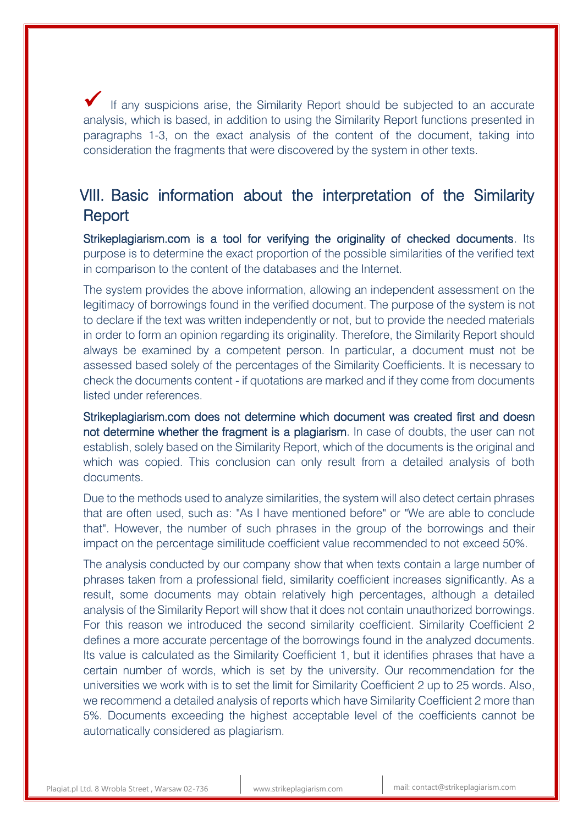If any suspicions arise, the Similarity Report should be subjected to an accurate analysis, which is based, in addition to using the Similarity Report functions presented in paragraphs 1-3, on the exact analysis of the content of the document, taking into consideration the fragments that were discovered by the system in other texts.

# VIII. Basic information about the interpretation of the Similarity **Report**

Strikeplagiarism.com is a tool for verifying the originality of checked documents. Its purpose is to determine the exact proportion of the possible similarities of the verified text in comparison to the content of the databases and the Internet.

The system provides the above information, allowing an independent assessment on the legitimacy of borrowings found in the verified document. The purpose of the system is not to declare if the text was written independently or not, but to provide the needed materials in order to form an opinion regarding its originality. Therefore, the Similarity Report should always be examined by a competent person. In particular, a document must not be assessed based solely of the percentages of the Similarity Coefficients. It is necessary to check the documents content - if quotations are marked and if they come from documents listed under references.

Strikeplagiarism.com does not determine which document was created first and doesn not determine whether the fragment is a plagiarism. In case of doubts, the user can not establish, solely based on the Similarity Report, which of the documents is the original and which was copied. This conclusion can only result from a detailed analysis of both documents.

Due to the methods used to analyze similarities, the system will also detect certain phrases that are often used, such as: "As I have mentioned before" or "We are able to conclude that". However, the number of such phrases in the group of the borrowings and their impact on the percentage similitude coefficient value recommended to not exceed 50%.

The analysis conducted by our company show that when texts contain a large number of phrases taken from a professional field, similarity coefficient increases significantly. As a result, some documents may obtain relatively high percentages, although a detailed analysis of the Similarity Report will show that it does not contain unauthorized borrowings. For this reason we introduced the second similarity coefficient. Similarity Coefficient 2 defines a more accurate percentage of the borrowings found in the analyzed documents. Its value is calculated as the Similarity Coefficient 1, but it identifies phrases that have a certain number of words, which is set by the university. Our recommendation for the universities we work with is to set the limit for Similarity Coefficient 2 up to 25 words. Also, we recommend a detailed analysis of reports which have Similarity Coefficient 2 more than 5%. Documents exceeding the highest acceptable level of the coefficients cannot be automatically considered as plagiarism.